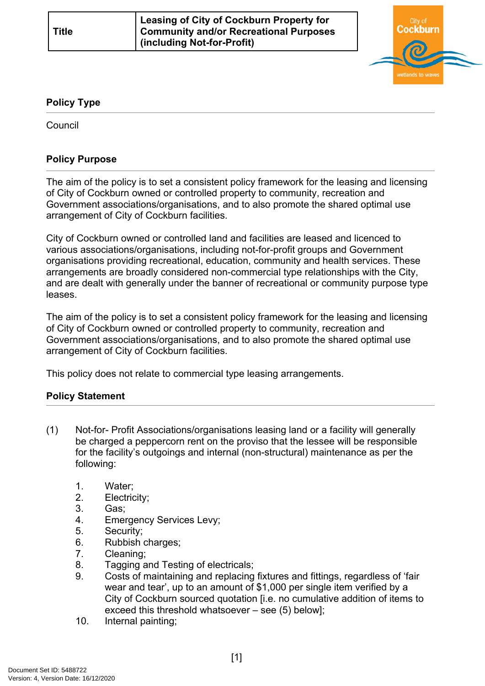

## **Policy Type**

**Council** 

## **Policy Purpose**

The aim of the policy is to set a consistent policy framework for the leasing and licensing of City of Cockburn owned or controlled property to community, recreation and Government associations/organisations, and to also promote the shared optimal use arrangement of City of Cockburn facilities.

City of Cockburn owned or controlled land and facilities are leased and licenced to various associations/organisations, including not-for-profit groups and Government organisations providing recreational, education, community and health services. These arrangements are broadly considered non-commercial type relationships with the City, and are dealt with generally under the banner of recreational or community purpose type leases.

The aim of the policy is to set a consistent policy framework for the leasing and licensing of City of Cockburn owned or controlled property to community, recreation and Government associations/organisations, and to also promote the shared optimal use arrangement of City of Cockburn facilities.

This policy does not relate to commercial type leasing arrangements.

## **[Policy Statement](#page-0-0)**

- <span id="page-0-0"></span>(1) Not-for- Profit Associations/organisations leasing land or a facility will generally be charged a peppercorn rent on the proviso that the lessee will be responsible for the facility's outgoings and internal (non-structural) maintenance as per the following:
	- 1. Water;
	- 2. Electricity;
	- 3. Gas;
	- 4. Emergency Services Levy;
	- 5. Security;
	- 6. Rubbish charges;
	- 7. Cleaning;
	- 8. Tagging and Testing of electricals;
	- 9. Costs of maintaining and replacing fixtures and fittings, regardless of 'fair wear and tear', up to an amount of \$1,000 per single item verified by a City of Cockburn sourced quotation [i.e. no cumulative addition of items to exceed this threshold whatsoever – see (5) below];
	- 10. Internal painting;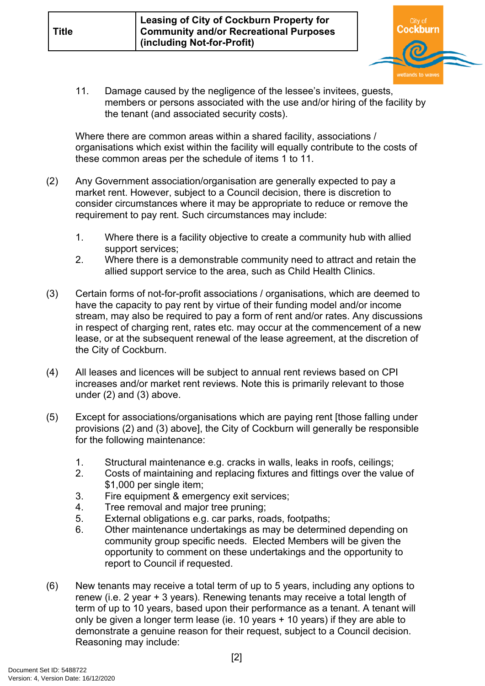

11. Damage caused by the negligence of the lessee's invitees, guests, members or persons associated with the use and/or hiring of the facility by the tenant (and associated security costs).

Where there are common areas within a shared facility, associations / organisations which exist within the facility will equally contribute to the costs of these common areas per the schedule of items 1 to 11.

- (2) Any Government association/organisation are generally expected to pay a market rent. However, subject to a Council decision, there is discretion to consider circumstances where it may be appropriate to reduce or remove the requirement to pay rent. Such circumstances may include:
	- 1. Where there is a facility objective to create a community hub with allied support services;
	- 2. Where there is a demonstrable community need to attract and retain the allied support service to the area, such as Child Health Clinics.
- (3) Certain forms of not-for-profit associations / organisations, which are deemed to have the capacity to pay rent by virtue of their funding model and/or income stream, may also be required to pay a form of rent and/or rates. Any discussions in respect of charging rent, rates etc. may occur at the commencement of a new lease, or at the subsequent renewal of the lease agreement, at the discretion of the City of Cockburn.
- (4) All leases and licences will be subject to annual rent reviews based on CPI increases and/or market rent reviews. Note this is primarily relevant to those under (2) and (3) above.
- (5) Except for associations/organisations which are paying rent [those falling under provisions (2) and (3) above], the City of Cockburn will generally be responsible for the following maintenance:
	- 1. Structural maintenance e.g. cracks in walls, leaks in roofs, ceilings;
	- 2. Costs of maintaining and replacing fixtures and fittings over the value of \$1,000 per single item;
	- 3. Fire equipment & emergency exit services;
	- 4. Tree removal and major tree pruning;
	- 5. External obligations e.g. car parks, roads, footpaths;
	- 6. Other maintenance undertakings as may be determined depending on community group specific needs. Elected Members will be given the opportunity to comment on these undertakings and the opportunity to report to Council if requested.
- (6) New tenants may receive a total term of up to 5 years, including any options to renew (i.e. 2 year + 3 years). Renewing tenants may receive a total length of term of up to 10 years, based upon their performance as a tenant. A tenant will only be given a longer term lease (ie. 10 years + 10 years) if they are able to demonstrate a genuine reason for their request, subject to a Council decision. Reasoning may include: